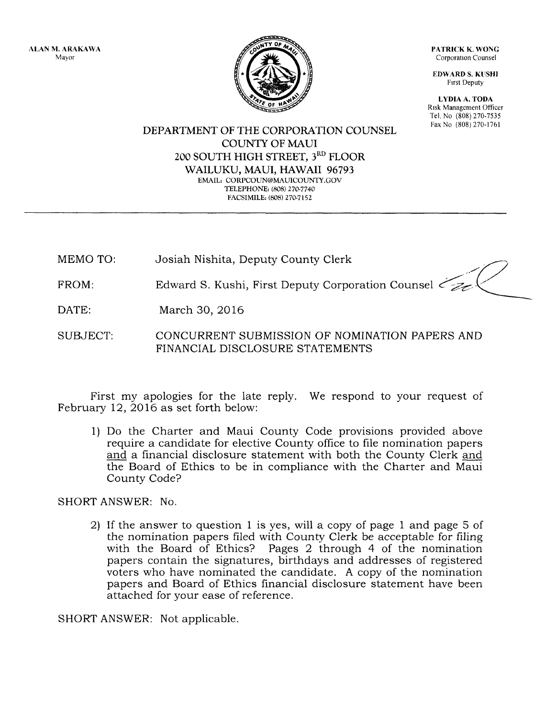ALAN M. ARAKAWA Mayor

PATRICK K. WONG Corporation Counsel

EDWARD S. KliSHI First Deputy

LYDIA A. TODA Risk Management Officer Tel. No (808) 270-7535 FaxNo (808)270-1761

DEPARTMENT OF THE CORPORATION COUNSEL COUNTY OF MAUl 200 SOUTH HIGH STREET, 3<sup>RD</sup> FLOOR WAILUKU, MAUl, HAWAII 96793 EMAIL: CORPCOUN@MAUlCOUNTY.GOV TELEPHONE: (808) 270-7740 FACSIMILE: (808) 270-7152

MEMO TO: Josiah Nishita, Deputy County Clerk

Edward S. Kushi, First Deputy Corporation Counsel  $\leq$ FROM:

March 30, 2016 DATE:

SUBJECT: CONCURRENT SUBMISSION OF NOMINATION PAPERS AND FINANCIAL DISCLOSURE STATEMENTS

First my apologies for the late reply. We respond to your request of February 12, 2016 as set forth below:

1) Do the Charter and Maui County Code provisions provided above require a candidate for elective County office to file nomination papers and a financial disclosure statement with both the County Clerk and the Board of Ethics to be in compliance with the Charter and Maui County Code?

SHORT ANSWER: No.

2) If the answer to question 1 is yes, will a copy of page 1 and page 5 of the nomination papers filed with County Clerk be acceptable for filing with the Board of Ethics? Pages 2 through 4 of the nomination papers contain the signatures, birthdays and addresses of registered voters who have nominated the candidate. A copy of the nomination papers and Board of Ethics financial disclosure statement have been attached for your ease of reference.

SHORT ANSWER: Not applicable.

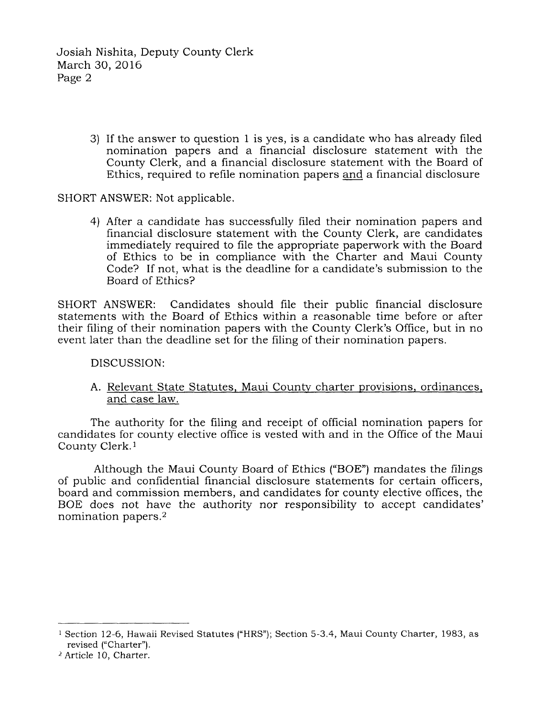Josiah Nishita, Deputy County Clerk March 30, 2016 Page 2

> 3) If the answer to question 1 is yes, is a candidate who has already filed nomination papers and a financial disclosure statement with the County Clerk, and a financial disclosure statement with the Board of Ethics, required to refile nomination papers and a financial disclosure

## SHORT ANSWER: Not applicable.

4) After a candidate has successfully filed their nomination papers and financial disclosure statement with the County Clerk, are candidates immediately required to file the appropriate paperwork with the Board of Ethics to be in compliance with the Charter and Maui County Code? If not, what is the deadline for a candidate's submission to the Board of Ethics?

SHORT ANSWER: Candidates should file their public financial disclosure statements with the Board of Ethics within a reasonable time before or after their filing of their nomination papers with the County Clerk's Office, but in no event later than the deadline set for the filing of their nomination papers.

DISCUSSION:

A. Relevant State Statutes, Maui County charter provisions, ordinances, and case law.

The authority for the filing and receipt of official nomination papers for candidates for county elective office is vested with and in the Office of the Maui County Clerk.l

Although the Maui County Board of Ethics ("BOE") mandates the filings of public and confidential financial disclosure statements for certain officers, board and commission members, and candidates for county elective offices, the BOE does not have the authority nor responsibility to accept candidates' nomination papers.2

2 Article 10, Charter.

<sup>&</sup>lt;sup>1</sup> Section 12-6, Hawaii Revised Statutes ("HRS"); Section 5-3.4, Maui County Charter, 1983, as revised ("Charter").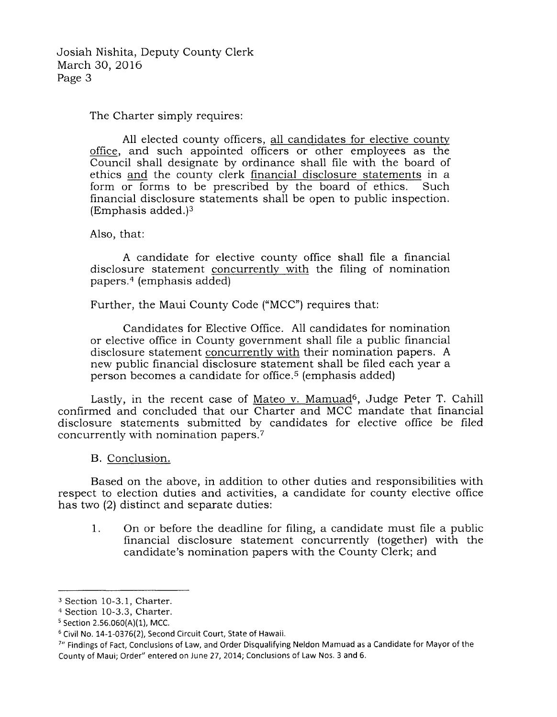Josiah Nishita, Deputy County Clerk March 30, 2016 Page 3

The Charter simply requires:

All elected county officers, all candidates for elective county office, and such appointed officers or other employees as the Council shall designate by ordinance shall file with the board of ethics and the county clerk financial disclosure statements in a form or forms to be prescribed by the board of ethics. Such financial disclosure statements shall be open to public inspection. (Emphasis added.)3

Also, that:

A candidate for elective county office shall file a financial disclosure statement concurrently with the filing of nomination papers. 4 (emphasis added)

Further, the Maui County Code ("MCC") requires that:

Candidates for Elective Office. All candidates for nomination or elective office in County government shall file a public financial disclosure statement concurrently with their nomination papers. A new public financial disclosure statement shall be filed each year a person becomes a candidate for office. 5 (emphasis added)

Lastly, in the recent case of Mateo v. Mamuad<sup>6</sup>, Judge Peter T. Cahill confirmed and concluded that our Charter and MCC mandate that financial disclosure statements submitted by candidates for elective office be filed concurrently with nomination papers.7

B. Conclusion.

Based on the above, in addition to other duties and responsibilities with respect to election duties and activities, a candidate for county elective office has two (2) distinct and separate duties:

1. On or before the deadline for filing, a candidate must file a public financial disclosure statement concurrently (together) with the candidate's nomination papers with the County Clerk; and

<sup>3</sup> Section 10-3.1, Charter.

<sup>&</sup>lt;sup>4</sup> Section 10-3.3, Charter.<br><sup>5</sup> Section 2.56.060(A)(1), MCC.

<sup>&</sup>lt;sup>6</sup> Civil No. 14-1-0376(2), Second Circuit Court, State of Hawaii.

<sup>7&</sup>quot; Findings of Fact, Conclusions of Law, and Order Disqualifying Neldon Mamuad as a Candidate for Mayor of the County of Maui; Order" entered on June 27, 2014; Conclusions of Law Nos. 3 and 6.